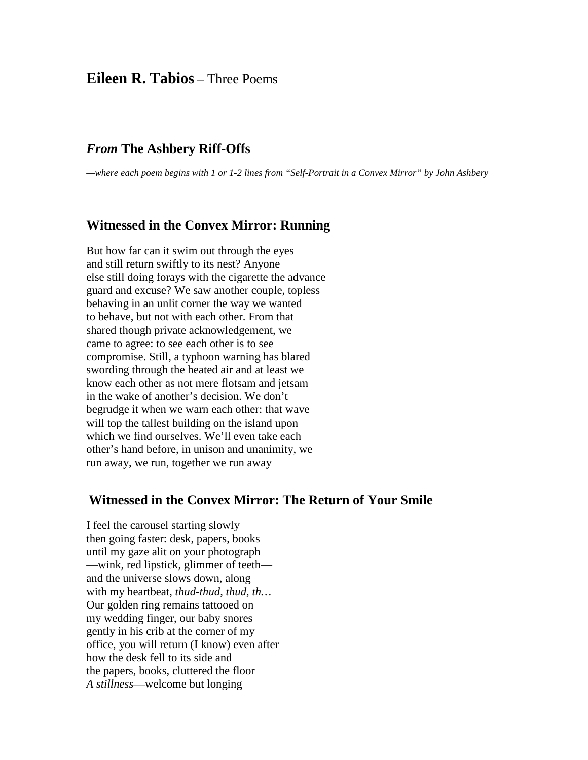# **Eileen R. Tabios** – Three Poems

## *From* **The Ashbery Riff-Offs**

*—where each poem begins with 1 or 1-2 lines from "Self-Portrait in a Convex Mirror" by John Ashbery*

#### **Witnessed in the Convex Mirror: Running**

But how far can it swim out through the eyes and still return swiftly to its nest? Anyone else still doing forays with the cigarette the advance guard and excuse? We saw another couple, topless behaving in an unlit corner the way we wanted to behave, but not with each other. From that shared though private acknowledgement, we came to agree: to see each other is to see compromise. Still, a typhoon warning has blared swording through the heated air and at least we know each other as not mere flotsam and jetsam in the wake of another's decision. We don't begrudge it when we warn each other: that wave will top the tallest building on the island upon which we find ourselves. We'll even take each other's hand before, in unison and unanimity, we run away, we run, together we run away

### **Witnessed in the Convex Mirror: The Return of Your Smile**

I feel the carousel starting slowly then going faster: desk, papers, books until my gaze alit on your photograph —wink, red lipstick, glimmer of teeth and the universe slows down, along with my heartbeat, *thud-thud, thud, th…* Our golden ring remains tattooed on my wedding finger, our baby snores gently in his crib at the corner of my office, you will return (I know) even after how the desk fell to its side and the papers, books, cluttered the floor *A stillness*—welcome but longing